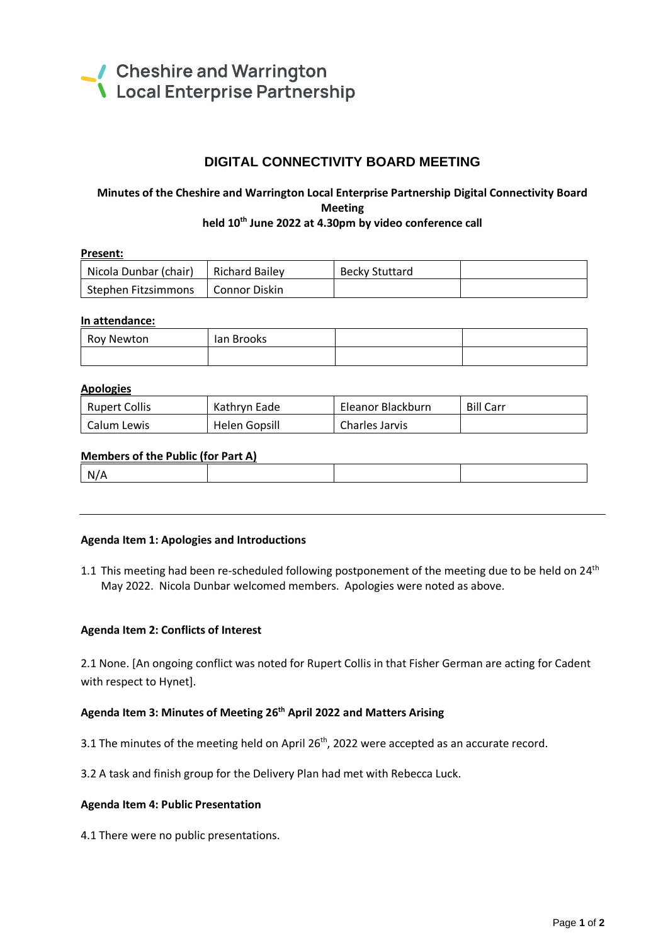

# **DIGITAL CONNECTIVITY BOARD MEETING**

# **Minutes of the Cheshire and Warrington Local Enterprise Partnership Digital Connectivity Board Meeting held 10th June 2022 at 4.30pm by video conference call**

| Present:              |                  |                |  |  |
|-----------------------|------------------|----------------|--|--|
| Nicola Dunbar (chair) | l Richard Bailev | Becky Stuttard |  |  |
| Stephen Fitzsimmons   | l Connor Diskin  |                |  |  |

### **In attendance:**

| Roy Newton | lan Brooks |  |
|------------|------------|--|
|            |            |  |

#### **Apologies**

| <b>Rupert Collis</b> | Kathryn Eade  | Eleanor Blackburn | <b>Bill Carr</b> |
|----------------------|---------------|-------------------|------------------|
| l Calum Lewis        | Helen Gopsill | Charles Jarvis    |                  |

### **Members of the Public (for Part A)**

| N |  |  |
|---|--|--|
|   |  |  |

#### **Agenda Item 1: Apologies and Introductions**

1.1 This meeting had been re-scheduled following postponement of the meeting due to be held on 24<sup>th</sup> May 2022. Nicola Dunbar welcomed members. Apologies were noted as above.

#### **Agenda Item 2: Conflicts of Interest**

2.1 None. [An ongoing conflict was noted for Rupert Collis in that Fisher German are acting for Cadent with respect to Hynet].

## **Agenda Item 3: Minutes of Meeting 26 th April 2022 and Matters Arising**

3.1 The minutes of the meeting held on April  $26<sup>th</sup>$ , 2022 were accepted as an accurate record.

3.2 A task and finish group for the Delivery Plan had met with Rebecca Luck.

#### **Agenda Item 4: Public Presentation**

4.1 There were no public presentations.